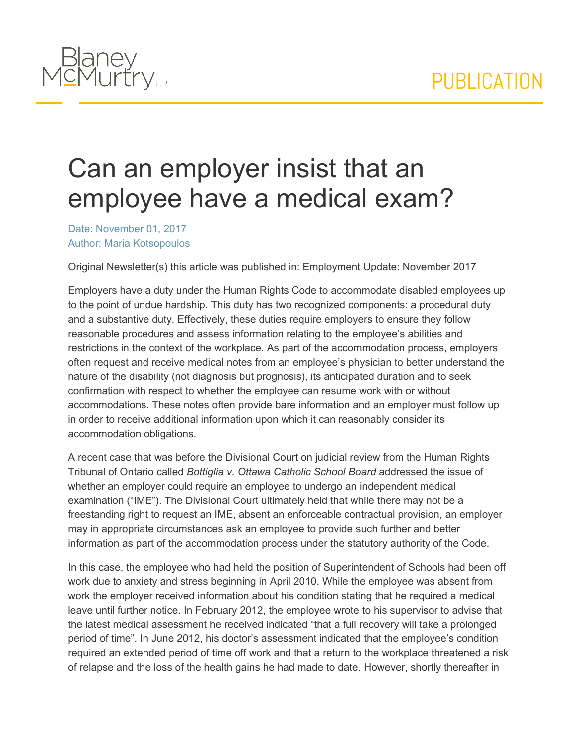

## Can an employer insist that an employee have a medical exam?

Date: November 01, 2017 Author: Maria Kotsopoulos

Original Newsletter(s) this article was published in: Employment Update: November 2017

Employers have a duty under the Human Rights Code to accommodate disabled employees up to the point of undue hardship. This duty has two recognized components: a procedural duty and a substantive duty. Effectively, these duties require employers to ensure they follow reasonable procedures and assess information relating to the employee's abilities and restrictions in the context of the workplace. As part of the accommodation process, employers often request and receive medical notes from an employee's physician to better understand the nature of the disability (not diagnosis but prognosis), its anticipated duration and to seek confirmation with respect to whether the employee can resume work with or without accommodations. These notes often provide bare information and an employer must follow up in order to receive additional information upon which it can reasonably consider its accommodation obligations.

A recent case that was before the Divisional Court on judicial review from the Human Rights Tribunal of Ontario called *Bottiglia v. Ottawa Catholic School Board* addressed the issue of whether an employer could require an employee to undergo an independent medical examination ("IME"). The Divisional Court ultimately held that while there may not be a freestanding right to request an IME, absent an enforceable contractual provision, an employer may in appropriate circumstances ask an employee to provide such further and better information as part of the accommodation process under the statutory authority of the Code.

In this case, the employee who had held the position of Superintendent of Schools had been off work due to anxiety and stress beginning in April 2010. While the employee was absent from work the employer received information about his condition stating that he required a medical leave until further notice. In February 2012, the employee wrote to his supervisor to advise that the latest medical assessment he received indicated "that a full recovery will take a prolonged period of time". In June 2012, his doctor's assessment indicated that the employee's condition required an extended period of time off work and that a return to the workplace threatened a risk of relapse and the loss of the health gains he had made to date. However, shortly thereafter in